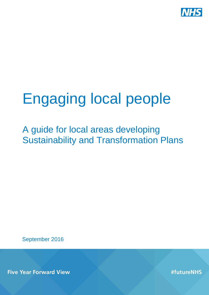

# Engaging local people

A guide for local areas developing Sustainability and Transformation Plans

September 2016

**Five Year Forward View** 

#futureNHS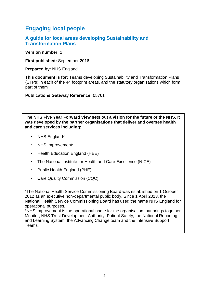## **Engaging local people**

#### **A guide for local areas developing Sustainability and Transformation Plans**

**Version number:** 1

**First published:** September 2016

**Prepared by:** NHS England

**This document is for:** Teams developing Sustainability and Transformation Plans (STPs) in each of the 44 footprint areas, and the statutory organisations which form part of them

**Publications Gateway Reference:** 05761

**The NHS Five Year Forward View sets out a vision for the future of the NHS. It was developed by the partner organisations that deliver and oversee health and care services including:**

- NHS England\*
- NHS Improvement\*
- Health Education England (HEE)
- The National Institute for Health and Care Excellence (NICE)
- Public Health England (PHE)
- Care Quality Commission (CQC)

\*The National Health Service Commissioning Board was established on 1 October 2012 as an executive non-departmental public body. Since 1 April 2013, the National Health Service Commissioning Board has used the name NHS England for operational purposes.

\*NHS Improvement is the operational name for the organisation that brings together Monitor, NHS Trust Development Authority, Patient Safety, the National Reporting and Learning System, the Advancing Change team and the Intensive Support Teams.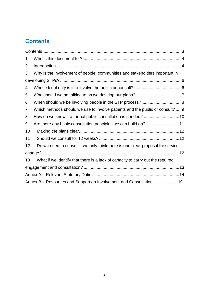## <span id="page-2-0"></span>**Contents**

| 1                                                                 |                                                                                |
|-------------------------------------------------------------------|--------------------------------------------------------------------------------|
| 2                                                                 |                                                                                |
| 3                                                                 | Why is the involvement of people, communities and stakeholders important in    |
|                                                                   |                                                                                |
| 4                                                                 |                                                                                |
| 5                                                                 |                                                                                |
| 6                                                                 |                                                                                |
| 7                                                                 | Which methods should we use to involve patients and the public or consult?  9  |
| 8                                                                 |                                                                                |
| 9                                                                 | Are there any basic consultation principles we can build on? 11                |
| 10                                                                |                                                                                |
| 11                                                                |                                                                                |
| 12                                                                | Do we need to consult if we only think there is one clear proposal for service |
|                                                                   |                                                                                |
| 13                                                                | What if we identify that there is a lack of capacity to carry out the required |
|                                                                   |                                                                                |
|                                                                   |                                                                                |
| Annex B - Resources and Support on Involvement and Consultation19 |                                                                                |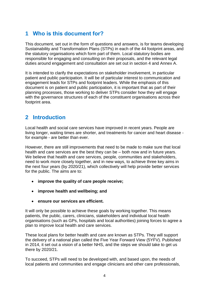## <span id="page-3-0"></span>**1 Who is this document for?**

This document, set out in the form of questions and answers, is for teams developing Sustainability and Transformation Plans (STPs) in each of the 44 footprint areas, and the statutory organisations which form part of them. Local statutory bodies are responsible for engaging and consulting on their proposals, and the relevant legal duties around engagement and consultation are set out in section 4 and Annex A.

It is intended to clarify the expectations on stakeholder involvement, in particular patient and public participation. It will be of particular interest to communication and engagement leads for STPs and footprint leaders. While the emphasis of this document is on patient and public participation, it is important that as part of their planning processes, those working to deliver STPs consider how they will engage with the governance structures of each of the constituent organisations across their footprint area.

## <span id="page-3-1"></span>**2 Introduction**

Local health and social care services have improved in recent years. People are living longer, waiting times are shorter, and treatments for cancer and heart disease for example - are better than ever.

However, there are still improvements that need to be made to make sure that local health and care services are the best they can be – both now and in future years. We believe that health and care services, people, communities and stakeholders, need to work more closely together, and in new ways, to achieve three key aims in the next four years (by 2020/21), which collectively will help provide better services for the public. The aims are to:

- **improve the quality of care people receive;**
- **improve health and wellbeing; and**
- **ensure our services are efficient.**

It will only be possible to achieve these goals by working together. This means patients, the public, carers, clinicians, stakeholders and individual local health organisations (such as GPs, hospitals and local authorities) joining forces to agree a plan to improve local health and care services.

These local plans for better health and care are known as STPs. They will support the delivery of a national plan called the Five Year Forward View (5YFV). Published in 2014, it set out a vision of a better NHS, and the steps we should take to get us there by 2020/21.

To succeed, STPs will need to be developed with, and based upon, the needs of local patients and communities and engage clinicians and other care professionals,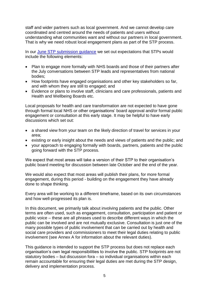staff and wider partners such as local government. And we cannot develop care coordinated and centred around the needs of patients and users without understanding what communities want and without our partners in local government. That is why we need robust local engagement plans as part of the STP process.

In our [June STP submission guidance](https://www.england.nhs.uk/wp-content/uploads/2016/05/stp-submission-guidance-june.pdf) we set out expectations that STPs would include the following elements:

- Plan to engage more formally with NHS boards and those of their partners after the July conversations between STP leads and representatives from national bodies;
- How footprints have engaged organisations and other key stakeholders so far, and with whom they are still to engaged; and
- Evidence or plans to involve staff, clinicians and care professionals, patients and Health and Wellbeing Boards etc.

Local proposals for health and care transformation are not expected to have gone through formal local NHS or other organisations' board approval and/or formal public engagement or consultation at this early stage. It may be helpful to have early discussions which set out:

- a shared view from your team on the likely direction of travel for services in your area;
- existing or early insight about the needs and views of patients and the public; and
- your approach to engaging formally with boards, partners, patients and the public going forward with the STP process.

We expect that most areas will take a version of their STP to their organisation's public board meeting for discussion between late October and the end of the year.

We would also expect that most areas will publish their plans, for more formal engagement, during this period - building on the engagement they have already done to shape thinking.

Every area will be working to a different timeframe, based on its own circumstances and how well-progressed its plan is.

In this document, we primarily talk about involving patients and the public. Other terms are often used, such as engagement, consultation, participation and patient or public voice – these are all phrases used to describe different ways in which the public can be involved and are not mutually exclusive. Consultation is just one of the many possible types of public involvement that can be carried out by health and social care providers and commissioners to meet their legal duties relating to public involvement (see Annex A for information about the relevant duties).

This guidance is intended to support the STP process but does not replace each organisation's own legal responsibilities to involve the public. STP footprints are not statutory bodies – but discussion fora – so individual organisations within each remain accountable for ensuring their legal duties are met during the STP design, delivery and implementation process.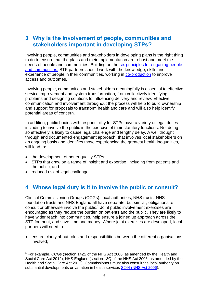#### <span id="page-5-0"></span>**3 Why is the involvement of people, communities and stakeholders important in developing STPs?**

Involving people, communities and stakeholders in developing plans is the right thing to do to ensure that the plans and their implementation are robust and meet the needs of people and communities. Building on the [six principles for engaging people](http://www.nationalvoices.org.uk/our-work/five-year-forward-view/new-model-partnership-people-and-communities)  [and communities,](http://www.nationalvoices.org.uk/our-work/five-year-forward-view/new-model-partnership-people-and-communities) STP partners should work with the knowledge, skills and experience of people in their communities, working in [co-production](http://www.thinklocalactpersonal.org.uk/Browse/Co-production/) to improve access and outcomes.

Involving people, communities and stakeholders meaningfully is essential to effective service improvement and system transformation, from collectively identifying problems and designing solutions to influencing delivery and review. Effective communication and involvement throughout the process will help to build ownership and support for proposals to transform health and care and will also help identify potential areas of concern.

In addition, public bodies with responsibility for STPs have a variety of legal duties including to involve the public in the exercise of their statutory functions. Not doing so effectively is likely to cause legal challenge and lengthy delay. A well thought through and documented engagement approach, that involves local stakeholders on an ongoing basis and identifies those experiencing the greatest health inequalities, will lead to:

- the development of better quality STPs;
- STPs that draw on a range of insight and expertise, including from patients and the public; and
- reduced risk of legal challenge.

### <span id="page-5-1"></span>**4 Whose legal duty is it to involve the public or consult?**

Clinical Commissioning Groups (CCGs), local authorities, NHS trusts, NHS foundation trusts and NHS England all have separate, but similar, obligations to consult or otherwise involve the public.<sup>1</sup> Joint public involvement exercises are encouraged as they reduce the burden on patients and the public. They are likely to have wider reach into communities, help ensure a joined up approach across the STP footprint, and save time and money. Where joint exercises are developed, local partners will need to:

 ensure clarity about roles and responsibilities between the different organisations involved;

<sup>1</sup>  $1$  For example, CCGs (section 14Z2 of the NHS Act 2006, as amended by the Health and Social Care Act 2012), NHS England (section 13Q of the NHS Act 2006, as amended by the Health and Social Care Act 2012). Commissioners must also consult the local authority on substantial developments or variation in health services [S244 \(NHS Act 2006\)](http://www.legislation.gov.uk/ukpga/2006/41/contents).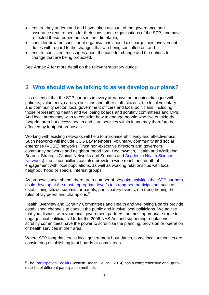- ensure they understand and have taken account of the governance and assurance requirements for their constituent organisations of the STP, and have reflected these requirements in their timetable;
- consider how the constituent organisations should discharge their involvement duties with regard to the changes that are being consulted on; and
- ensure consistent messages about the case for change and the options for change that are being proposed.

See Annex A for more detail on the relevant statutory duties.

#### <span id="page-6-0"></span>**5 Who should we be talking to as we develop our plans?**

It is essential that the STP partners in every area have an ongoing dialogue with patients, volunteers, carers, clinicians and other staff, citizens, the local voluntary and community sector, local government officers and local politicians, including those representing health and wellbeing boards and scrutiny committees and MPs. And local areas may wish to consider how to engage people who live outside the footprint area but access health and care services within it and may therefore be affected by footprint proposals.

Working with existing networks will help to maximise efficiency and effectiveness. Such networks will include CCG Lay Members, voluntary, community and social enterprise (VCSE) networks, Trust non-executive directors and governors, community networks and neighbourhood fora, Healthwatch, Health and Wellbeing Boards, Strategic Clinical Networks and Senates and [Academic Health Science](http://www.ahsnnetwork.com/)  [Networks\)](http://www.ahsnnetwork.com/). Local councillors can also provide a wide reach and depth of engagement with local populations, as well as working relationships with local neighbourhood or special interest groups.

As proposals take shape, there are a number of [bespoke activities that STP partners](https://www.england.nhs.uk/ourwork/patients/participation9/)  [could develop at the most appropriate level/s to strengthen participation,](https://www.england.nhs.uk/ourwork/patients/participation9/) such as establishing citizen summits or panels, participatory events, or strengthening the roles of lay peers and champions.<sup>2</sup>

Health Overview and Scrutiny Committees and Health and Wellbeing Boards provide established channels to consult the public and involve local politicians. We advise that you discuss with your local government partners the most appropriate route to engage local politicians. Under the 2006 NHS Act and supporting regulations, scrutiny committees have the power to scrutinise the planning, provision or operation of health services in their area.

Where STP footprints cross local government boundaries, some local authorities are considering establishing joint boards or committees.

**<sup>.</sup>** <sup>2</sup> The **Participation Toolkit** (Scottish Health Council, 2014) has a comprehensive and up-todate list of different participation methods.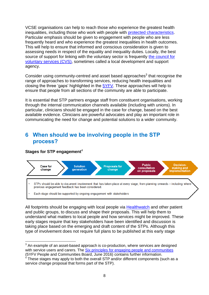VCSE organisations can help to reach those who experience the greatest health inequalities, including those who work with people with [protected characteristics.](https://www.equalityhumanrights.com/en/equality-act/protected-characteristics) Particular emphasis should be given to engagement with people who are less frequently heard and who experience the greatest inequalities in health outcomes. This will help to ensure that informed and conscious consideration is given to assessing needs in respect of the equality and inequality duties. Locally, the best source of support for linking with the voluntary sector is frequently [the council for](https://www.navca.org.uk/members/members-directory)  [voluntary services \(CVS\),](https://www.navca.org.uk/members/members-directory) sometimes called a local development and support agency.

Consider using community-centred and asset based approaches $3$  that recognise the range of approaches to transforming services, reducing health inequalities and closing the three 'gaps' highlighted in the 5YFV. These approaches will help to ensure that people from all sections of the community are able to participate.

It is essential that STP partners engage staff from constituent organisations, working through the internal communication channels available (including with unions). In particular, clinicians should be engaged in the case for change, based on the best available evidence. Clinicians are powerful advocates and play an important role in communicating the need for change and potential solutions to a wider community.

#### <span id="page-7-0"></span>**6 When should we be involving people in the STP process?**

#### **Stages for STP engagement**<sup>4</sup>



All footprints should be engaging with local people via [Healthwatch](http://www.healthwatch.co.uk/) and other patient and public groups, to discuss and shape their proposals. This will help them to understand what matters to local people and how services might be improved. These early stages require that key stakeholders have been identified and discussion is taking place based on the emerging and draft content of the STPs. Although this type of involvement does not require full plans to be published at this early stage

**<sup>.</sup>**  $3$  An example of an asset-based approach is co-production, where services are designed with service users and carers. The [Six principles for engaging people and communities](http://www.nationalvoices.org.uk/publications/our-publications/six-principles-engaging-people-and-communities-definitions-evaluation) (5YFV People and Communities Board, June 2016) contains further information.

 $4$  These stages may apply to both the overall STP and/or different components (such as a service change proposal that forms part of the STP).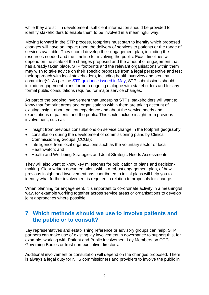while they are still in development, sufficient information should be provided to identify stakeholders to enable them to be involved in a meaningful way.

Moving forward in the STP process, footprints must start to identify which proposed changes will have an impact upon the delivery of services to patients or the range of services available. They should develop their engagement plan, including the resources needed and the timeline for involving the public. Exact timelines will depend on the scale of the changes proposed and the amount of engagement that has already taken place. STP footprints and the relevant organisations within them may wish to take advice on their specific proposals from a legal perspective and test their approach with local stakeholders, including health overview and scrutiny committee(s). As per the [STP guidance issued in May,](https://www.england.nhs.uk/ourwork/futurenhs/deliver-forward-view/stp/support/) STP submissions should include engagement plans for both ongoing dialogue with stakeholders and for any formal public consultations required for major service changes.

As part of the ongoing involvement that underpins STPs, stakeholders will want to know that footprint areas and organisations within them are taking account of existing insight about patient experience and about the service needs and expectations of patients and the public. This could include insight from previous involvement, such as:

- insight from previous consultations on service change in the footprint geography;
- consultation during the development of commissioning plans by Clinical Commissioning Groups (CCGs);
- intelligence from local organisations such as the voluntary sector or local Healthwatch; and
- Health and Wellbeing Strategies and Joint Strategic Needs Assessments.

They will also want to know key milestones for publication of plans and decisionmaking. Clear written documentation, within a robust engagement plan, of how previous insight and involvement has contributed to initial plans will help you to identify what further involvement is required in relation to proposals for change.

When planning for engagement, it is important to co-ordinate activity in a meaningful way, for example working together across service areas or organisations to develop joint approaches where possible.

#### <span id="page-8-0"></span>**7 Which methods should we use to involve patients and the public or to consult?**

Lay representatives and establishing reference or advisory groups can help. STP partners can make use of existing lay involvement in governance to support this, for example, working with Patient and Public Involvement Lay Members on CCG Governing Bodies or trust non-executive directors.

Additional involvement or consultation will depend on the changes proposed. There is always a legal duty for NHS commissioners and providers to involve the public in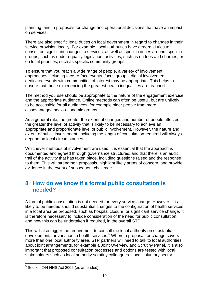planning, and in proposals for change and operational decisions that have an impact on services.

There are also specific legal duties on local government in regard to changes in their service provision locally. For example, local authorities have general duties to consult on significant changes to services, as well as specific duties around: specific groups, such as under equality legislation; activities, such as on fees and charges; or on local priorities, such as specific community groups.

To ensure that you reach a wide range of people, a variety of involvement approaches including face-to-face events, focus groups, digital involvement, dedicated events with communities of interest may be appropriate. This helps to ensure that those experiencing the greatest health inequalities are reached.

The method you use should be appropriate to the nature of the engagement exercise and the appropriate audience. Online methods can often be useful, but are unlikely to be accessible for all audiences, for example older people from more disadvantaged socio-economic groups.

As a general rule, the greater the extent of changes and number of people affected, the greater the level of activity that is likely to be necessary to achieve an appropriate and proportionate level of public involvement. However, the nature and extent of public involvement, including the length of consultation required will always depend on local circumstances.

Whichever methods of involvement are used, it is essential that the approach is documented and agreed through governance structures, and that there is an audit trail of the activity that has taken place, including questions raised and the response to them. This will strengthen proposals, highlight likely areas of concern, and provide evidence in the event of subsequent challenge.

#### <span id="page-9-0"></span>**8 How do we know if a formal public consultation is needed?**

A formal public consultation is not needed for every service change. However, it is likely to be needed should substantial changes to the configuration of health services in a local area be proposed, such as hospital closure, or significant service change. It is therefore necessary to include consideration of the need for public consultation, and how this can be undertaken if required, in the overall STP.

This will also trigger the requirement to consult the local authority on substantial developments or variation in health services.<sup>5</sup> Where a proposal for change covers more than one local authority area, STP partners will need to talk to local authorities about joint arrangements, for example a Joint Overview and Scrutiny Panel. It is also important that proposed consultation processes and options are tested with local stakeholders such as local authority scrutiny colleagues. Local voluntary sector

**.** 

 $5$  Section 244 NHS Act 2006 (as amended).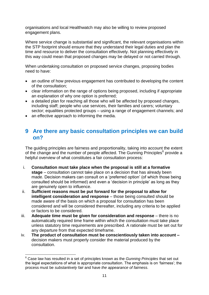organisations and local Healthwatch may also be willing to review proposed engagement plans.

Where service change is substantial and significant, the relevant organisations within the STP footprint should ensure that they understand their legal duties and plan the time and resource to deliver the consultation effectively. Not planning effectively in this way could mean that proposed changes may be delayed or not carried through.

When undertaking consultation on proposed service changes, proposing bodies need to have:

- an outline of how previous engagement has contributed to developing the content of the consultation;
- clear information on the range of options being proposed, including if appropriate an explanation of why one option is preferred;
- a detailed plan for reaching all those who will be affected by proposed changes, including staff; people who use services, their families and carers; voluntary sector; equalities protected groups – using a range of engagement channels; and
- an effective approach to informing the media.

#### <span id="page-10-0"></span>**9 Are there any basic consultation principles we can build on?**

The guiding principles are fairness and proportionality, taking into account the extent of the change and the number of people affected. The Gunning Principles $^6$  provide a helpful overview of what constitutes a fair consultation process:

- i. **Consultation must take place when the proposal is still at a formative stage** – consultation cannot take place on a decision that has already been made. Decision makers can consult on a 'preferred option' (of which those being consulted should be informed) and even a 'decision in principle' as long as they are genuinely open to influence.
- ii. **Sufficient reasons must be put forward for the proposal to allow for intelligent consideration and response** – those being consulted should be made aware of the basis on which a proposal for consultation has been considered and will be considered thereafter, including any criteria to be applied or factors to be considered.
- iii. **Adequate time must be given for consideration and response** there is no automatically required time frame within which the consultation must take place unless statutory time requirements are prescribed. A rationale must be set out for any departure from that expected timeframe.
- iv. **The product of consultation must be conscientiously taken into account –** decision makers must properly consider the material produced by the consultation.

<sup>1</sup> <sup>6</sup> Case law has resulted in a set of principles known as the *Gunning Principles* that set out the legal expectations of what is appropriate consultation. The emphasis is on 'fairness'; the process must be *substantively fair* and have *the appearance of fairness*.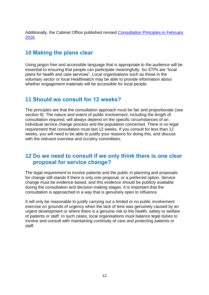Additionally, the Cabinet Office published revised [Consultation Principles in February](https://www.gov.uk/government/publications/consultation-principles-guidance)  [2016.](https://www.gov.uk/government/publications/consultation-principles-guidance)

#### <span id="page-11-0"></span>**10 Making the plans clear**

Using jargon free and accessible language that is appropriate to the audience will be essential to ensuring that people can participate meaningfully. So STPs are "local plans for health and care services". Local organisations such as those in the voluntary sector or local Healthwatch may be able to provide information about whether engagement materials will be accessible for local people.

#### <span id="page-11-1"></span>**11 Should we consult for 12 weeks?**

The principles are that the consultation approach must be fair and proportionate (see section 9). The nature and extent of public involvement, including the length of consultation required, will always depend on the specific circumstances of an individual service change process and the population concerned. There is no legal requirement that consultation must last 12 weeks. If you consult for less than 12 weeks, you will need to be able to justify your reasons for doing this, and discuss with the relevant overview and scrutiny committees.

#### <span id="page-11-2"></span>**12 Do we need to consult if we only think there is one clear proposal for service change?**

The legal requirement to involve patients and the public in planning and proposals for change still stands if there is only one proposal, or a preferred option. Service change must be evidence-based, and this evidence should be publicly available during the consultation and decision-making stages. It is important that the consultation is approached in a way that is genuinely open to influence.

It will only be reasonable to justify carrying out a limited or no public involvement exercise on grounds of urgency when the lack of time was genuinely caused by an urgent development or where there is a genuine risk to the health, safety or welfare of patients or staff. In such cases, local organisations must balance legal duties to involve and consult with maintaining continuity of care and protecting patients or staff.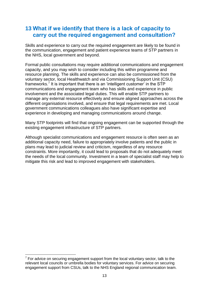#### <span id="page-12-0"></span>**13 What if we identify that there is a lack of capacity to carry out the required engagement and consultation?**

Skills and experience to carry out the required engagement are likely to be found in the communication, engagement and patient experience teams of STP partners in the NHS, local government and beyond.

Formal public consultations may require additional communications and engagement capacity, and you may wish to consider including this within programme and resource planning. The skills and experience can also be commissioned from the voluntary sector, local Healthwatch and via Commissioning Support Unit (CSU) frameworks.<sup>7</sup> It is important that there is an 'intelligent customer' in the STP communications and engagement team who has skills and experience in public involvement and the associated legal duties. This will enable STP partners to manage any external resource effectively and ensure aligned approaches across the different organisations involved, and ensure that legal requirements are met. Local government communications colleagues also have significant expertise and experience in developing and managing communications around change.

Many STP footprints will find that ongoing engagement can be supported through the existing engagement infrastructure of STP partners.

<span id="page-12-1"></span>Although specialist communications and engagement resource is often seen as an additional capacity need, failure to appropriately involve patients and the public in plans may lead to judicial review and criticism, regardless of any resource constraints. More importantly, it could lead to proposals that do not adequately meet the needs of the local community. Investment in a team of specialist staff may help to mitigate this risk and lead to improved engagement with stakeholders.

<sup>1</sup>  $7$  For advice on securing engagement support from the local voluntary sector, talk to the relevant local councils or umbrella bodies for voluntary services. For advice on securing engagement support from CSUs, talk to the NHS England regional communication team.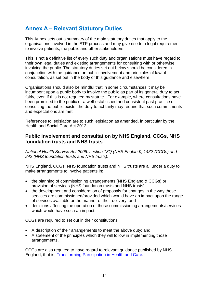## **Annex A – Relevant Statutory Duties**

This Annex sets out a summary of the main statutory duties that apply to the organisations involved in the STP process and may give rise to a legal requirement to involve patients, the public and other stakeholders.

This is not a definitive list of every such duty and organisations must have regard to their own legal duties and existing arrangements for consulting with or otherwise involving the public. The statutory duties set out below should be considered in conjunction with the guidance on public involvement and principles of lawful consultation, as set out in the body of this guidance and elsewhere.

Organisations should also be mindful that in some circumstances it may be incumbent upon a public body to involve the public as part of its general duty to act fairly, even if this is not required by statute. For example, where consultations have been promised to the public or a well-established and consistent past practice of consulting the public exists, the duty to act fairly may require that such commitments and expectations are met.

References to legislation are to such legislation as amended, in particular by the Health and Social Care Act 2012.

#### **Public involvement and consultation by NHS England, CCGs, NHS foundation trusts and NHS trusts**

*National Health Service Act 2006: section 13Q (NHS England), 14Z2 (CCGs) and 242 (NHS foundation trusts and NHS trusts).*

NHS England, CCGs, NHS foundation trusts and NHS trusts are all under a duty to make arrangements to involve patients in:

- the planning of commissioning arrangements (NHS England & CCGs) or provision of services (NHS foundation trusts and NHS trusts);
- the development and consideration of proposals for changes in the way those services are commissioned/provided which would have an impact upon the range of services available or the manner of their delivery; and
- decisions affecting the operation of those commissioning arrangements/services which would have such an impact.

CCGs are required to set out in their constitutions:

- A description of their arrangements to meet the above duty; and
- A statement of the principles which they will follow in implementing those arrangements.

CCGs are also required to have regard to relevant guidance published by NHS England, that is, [Transforming Participation in Health and Care.](https://www.england.nhs.uk/2013/09/trans-part/)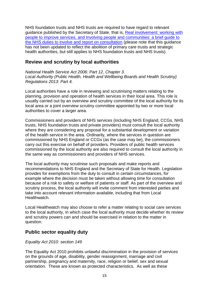NHS foundation trusts and NHS trusts are required to have regard to relevant guidance published by the Secretary of State, that is, [Real involvement: working with](http://webarchive.nationalarchives.gov.uk/+/www.dh.gov.uk/en/Managingyourorganisation/PatientAndPublicinvolvement/DH_4093411)  [people to improve services, and Involving people and communities: a brief guide to](http://webarchive.nationalarchives.gov.uk/+/www.dh.gov.uk/en/Managingyourorganisation/PatientAndPublicinvolvement/DH_4093411)  [the NHS duties to involve and report on consultation](http://webarchive.nationalarchives.gov.uk/+/www.dh.gov.uk/en/Managingyourorganisation/PatientAndPublicinvolvement/DH_4093411) (please note that this guidance has not been updated to reflect the abolition of primary care trusts and strategic health authorities, but still applies to NHS foundation trusts and NHS trusts).

#### **Review and scrutiny by local authorities**

*National Health Service Act 2006: Part 12, Chapter 3. Local Authority (Public Health, Health and Wellbeing Boards and Health Scrutiny) Regulations 2013: Part 4.*

Local authorities have a role in reviewing and scrutinising matters relating to the planning, provision and operation of health services in their local area. This role is usually carried out by an overview and scrutiny committee of the local authority for its local area or a joint overview scrutiny committee appointed by two or more local authorities to cover a larger area.

Commissioners and providers of NHS services (including NHS England, CCGs, NHS trusts, NHS foundation trusts and private providers) must consult the local authority where they are considering any proposal for a substantial development or variation of the health service in the area. Ordinarily, where the services in question are commissioned by NHS England or CCGs (as the case may be), the commissioners carry out this exercise on behalf of providers. Providers of public health services commissioned by the local authority are also required to consult the local authority in the same way as commissioners and providers of NHS services.

The local authority may scrutinise such proposals and make reports and recommendations to NHS England and the Secretary of State for Health. Legislation provides for exemptions from the duty to consult in certain circumstances, for example where the decision must be taken without allowing time for consultation because of a risk to safety or welfare of patients or staff. As part of the overview and scrutiny process, the local authority will invite comment from interested parties and take into account relevant information available, including that from Local Healthwatch.

Local Healthwatch may also choose to refer a matter relating to social care services to the local authority, in which case the local authority must decide whether its review and scrutiny powers can and should be exercised in relation to the matter in question.

#### **Public sector equality duty**

#### *Equality Act 2010: section 149*

The Equality Act 2010 prohibits unlawful discrimination in the provision of services on the grounds of age, disability, gender reassignment, marriage and civil partnership, pregnancy and maternity, race, religion or belief, sex and sexual orientation. These are known as protected characteristics. As well as these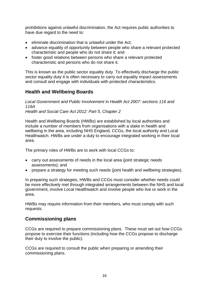prohibitions against unlawful discrimination, the Act requires public authorities to have due regard to the need to:

- $\bullet$  eliminate discrimination that is unlawful under the Act;
- advance equality of opportunity between people who share a relevant protected characteristic and people who do not share it; and
- foster good relations between persons who share a relevant protected characteristic and persons who do not share it.

This is known as the public sector equality duty. To effectively discharge the public sector equality duty it is often necessary to carry out equality impact assessments and consult and engage with individuals with protected characteristics.

#### **Health and Wellbeing Boards**

*Local Government and Public Involvement in Health Act 2007: sections 116 and 116A Health and Social Care Act 2012: Part 5, Chapter 2* 

Health and Wellbeing Boards (HWBs) are established by local authorities and include a number of members from organisations with a stake in health and wellbeing in the area, including NHS England, CCGs, the local authority and Local Healthwatch. HWBs are under a duty to encourage integrated working in their local area.

The primary roles of HWBs are to work with local CCGs to:

- carry out assessments of needs in the local area (joint strategic needs assessments); and
- prepare a strategy for meeting such needs (joint health and wellbeing strategies).

In preparing such strategies, HWBs and CCGs must consider whether needs could be more effectively met through integrated arrangements between the NHS and local government, involve Local Healthwatch and involve people who live or work in the area.

HWBs may require information from their members, who must comply with such requests.

#### **Commissioning plans**

CCGs are required to prepare commissioning plans. These must set out how CCGs propose to exercise their functions (including how the CCGs propose to discharge their duty to involve the public).

CCGs are required to consult the public when preparing or amending their commissioning plans.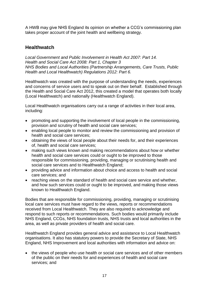A HWB may give NHS England its opinion on whether a CCG's commissioning plan takes proper account of the joint health and wellbeing strategy.

#### **Healthwatch**

*Local Government and Public Involvement in Health Act 2007: Part 14. Health and Social Care Act 2008: Part 1, Chapter 3 NHS Bodies and Local Authorities (Partnership Arrangements, Care Trusts, Public Health and Local Healthwatch) Regulations 2012: Part 6.*

Healthwatch was created with the purpose of understanding the needs, experiences and concerns of service users and to speak out on their behalf. Established through the Health and Social Care Act 2012, this created a model that operates both locally (Local Healthwatch) and nationally (Healthwatch England).

Local Healthwatch organisations carry out a range of activities in their local area, including:

- promoting and supporting the involvement of local people in the commissioning, provision and scrutiny of health and social care services;
- enabling local people to monitor and review the commissioning and provision of health and social care services;
- obtaining the views of local people about their needs for, and their experiences of, health and social care services;
- making such views known and making recommendations about how or whether health and social care services could or ought to be improved to those responsible for commissioning, providing, managing or scrutinising health and social care services and to Healthwatch England;
- providing advice and information about choice and access to health and social care services; and
- reaching views on the standard of health and social care service and whether, and how such services could or ought to be improved, and making those views known to Healthwatch England.

Bodies that are responsible for commissioning, providing, managing or scrutinising local care services must have regard to the views, reports or recommendations received from Local Healthwatch. They are also required to acknowledge and respond to such reports or recommendations. Such bodies would primarily include NHS England, CCGs, NHS foundation trusts, NHS trusts and local authorities in the area, as well as private providers of health and social care.

Healthwatch England provides general advice and assistance to Local Healthwatch organisations. It also has statutory powers to provide the Secretary of State, NHS England, NHS Improvement and local authorities with information and advice on:

• the views of people who use health or social care services and of other members of the public on their needs for and experiences of health and social care services; and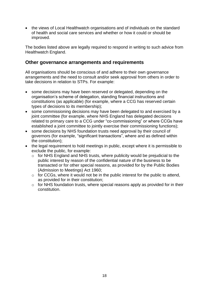• the views of Local Healthwatch organisations and of individuals on the standard of health and social care services and whether or how it could or should be improved.

The bodies listed above are legally required to respond in writing to such advice from Healthwatch England.

#### **Other governance arrangements and requirements**

All organisations should be conscious of and adhere to their own governance arrangements and the need to consult and/or seek approval from others in order to take decisions in relation to STPs. For example:

- some decisions may have been reserved or delegated, depending on the organisation's scheme of delegation, standing financial instructions and constitutions (as applicable) (for example, where a CCG has reserved certain types of decisions to its membership);
- some commissioning decisions may have been delegated to and exercised by a joint committee (for example, where NHS England has delegated decisions related to primary care to a CCG under "co-commissioning" or where CCGs have established a joint committee to jointly exercise their commissioning functions);
- some decisions by NHS foundation trusts need approval by their council of governors (for example, "significant transactions", where and as defined within the constitution);
- the legal requirement to hold meetings in public, except where it is permissible to exclude the public, for example:
	- $\circ$  for NHS England and NHS trusts, where publicity would be prejudicial to the public interest by reason of the confidential nature of the business to be transacted or for other special reasons, as provided for by the Public Bodies (Admission to Meetings) Act 1960;
	- $\circ$  for CCGs, where it would not be in the public interest for the public to attend, as provided for in their constitution;
	- o for NHS foundation trusts, where special reasons apply as provided for in their constitution.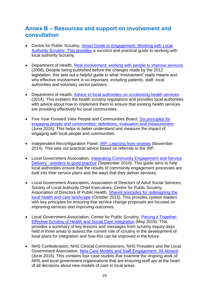#### **Annex B – Resources and support on involvement and consultation**

- Centre for Public Scrutiny, [Smart Guide to Engagement: Working with Local](https://www.networks.nhs.uk/nhs-networks/smart-guides/documents/Working%20with%20local%20authority%20scrutiny.pdf)  [Authority Scrutiny.](https://www.networks.nhs.uk/nhs-networks/smart-guides/documents/Working%20with%20local%20authority%20scrutiny.pdf) This provides a succinct and practical guide to working with local authority Scrutiny.
- Department of Health, [Real involvement: working with people to improve services](http://webarchive.nationalarchives.gov.uk/20130107105354/http:/www.dh.gov.uk/prod_consum_dh/groups/dh_digitalassets/@dh/@en/documents/digitalasset/dh_089785.pdf) (2008). Despite being published before the changes made by the 2012 legislation, this sets out a helpful guide to what 'involvement' really means and why effective involvement is so important, including patients, staff, local authorities and voluntary sector partners.
- Department of Health, [Advice to local authorities on scrutinising health services](https://www.gov.uk/government/publications/advice-to-local-authorities-on-scrutinising-health-services) (2014). This explains the health scrutiny regulations and provides local authorities with advice about how to implement them to ensure that existing health services are providing effectively for local communities.
- Five Year Forward View People and Communities Board, Six principles for [engaging people and communities: definitions, evaluation and measurement](http://www.nationalvoices.org.uk/publications/our-publications/six-principles-engaging-people-and-communities-definitions-evaluation) (June 2016). This helps to better understand and measure the impact of engaging with local people and communities.
- Independent Reconfiguration Panel, [IRP: Learning from reviews](https://www.gov.uk/government/collections/irp-learning-from-reviews) (November 2014). This sets out practical advice based on referrals to the IRP.
- Local Government Association, Integrating Community Engagement and Service Delivery - [pointers to good practice](http://www.local.gov.uk/c/document_library/get_file?uuid=6dba73c3-09e2-4e96-869e-e9a760fc46ad&groupId=10180) (September 2010). This guide aims to help local authorities ensure that the results of community engagement processes are built into their service plans and the ways that they deliver services.
- Local Government Association, Association of Directors of Adult Social Services, Society of Local Authority Chief Executives, Centre for Public Scrutiny, Association of Directors of Public Health, [Shared principles for redesigning the](http://www.local.gov.uk/publications/-/journal_content/56/10180/7485587/PUBLICATION)  [local health and care landscape](http://www.local.gov.uk/publications/-/journal_content/56/10180/7485587/PUBLICATION) (October 2015). This provides system leaders with key principles for ensuring that service change proposals are focused on improving services and improving outcomes.
- Local Government Association, Centre for Public Scrutiny, [Piecing it Together:](http://www.local.gov.uk/integration-better-care-fund/-/journal_content/56/10180/7315722/ARTICLE)  [Effective Scrutiny of Health and Social Care Integration](http://www.local.gov.uk/integration-better-care-fund/-/journal_content/56/10180/7315722/ARTICLE) (May 2015). This provides a summary of key lessons and messages from scrutiny inquiry days held in three areas to assess the current role of scrutiny in the development of local plans for integration and how this can be improved in the future.
- NHS Confederation, NHS Clinical Commissioners, NHS Providers and the Local Government Association, [New Care Models and Staff Engagement: All Aboard](https://www.england.nhs.uk/2016/06/all-aboard/) (June 2016). This contains four case studies that examine the ongoing work of NHS and local government organisations that are ensuring staff are at the heart of all decisions about new models of care in local areas.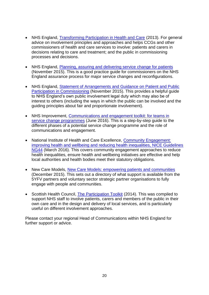- NHS England, [Transforming Participation in Health and Care](https://www.england.nhs.uk/wp-content/uploads/2013/09/trans-part-hc-guid1.pdf) (2013). For general advice on involvement principles and approaches and helps CCGs and other commissioners of health and care services to involve: patients and carers in decisions relating to care and treatment; and the public in commissioning processes and decisions.
- NHS England, [Planning, assuring and delivering service change for patients](https://www.england.nhs.uk/wp-content/uploads/2015/10/plan-ass-deliv-serv-chge.pdf) (November 2015). This is a good practice guide for commissioners on the NHS England assurance process for major service changes and reconfigurations.
- NHS England, [Statement of Arrangements and Guidance on Patient and Public](https://www.england.nhs.uk/wp-content/uploads/2015/11/ppp-policy-statement.pdf)  [Participation in Commissioning](https://www.england.nhs.uk/wp-content/uploads/2015/11/ppp-policy-statement.pdf) (November 2015). This provides a helpful guide to NHS England's own public involvement legal duty which may also be of interest to others (including the ways in which the public can be involved and the guiding principles about fair and proportionate involvement).
- NHS Improvement, [Communications and engagement toolkit: for teams in](https://improvement.nhs.uk/resources/communications-and-engagement-toolkit-teams-service-change-programmes/)  [service change programmes](https://improvement.nhs.uk/resources/communications-and-engagement-toolkit-teams-service-change-programmes/) (June 2016). This is a step-by-step guide to the different phases of a potential service change programme and the role of communications and engagement.
- National Institute of Health and Care Excellence, Community Engagement: [improving health and wellbeing and reducing health inequalities, NICE Guidelines](https://www.nice.org.uk/guidance/ng44)  [NG44](https://www.nice.org.uk/guidance/ng44) (March 2016). This covers community engagement approaches to reduce health inequalities, ensure health and wellbeing initiatives are effective and help local authorities and health bodies meet their statutory obligations.
- New Care Models, [New Care Models: empowering patients and communities](https://www.england.nhs.uk/wp-content/uploads/2015/12/vanguards-support-directory.pdf) (December 2015). This sets out a directory of what support is available from the 5YFV partners and voluntary sector strategic partner organisations to fully engage with people and communities.
- Scottish Health Council, [The Participation Toolkit](http://www.scottishhealthcouncil.org/toolkit.aspx) (2014). This was compiled to support NHS staff to involve patients, carers and members of the public in their own care and in the design and delivery of local services, and is particularly useful on different involvement approaches.

Please contact your regional Head of Communications within NHS England for further support or advice.